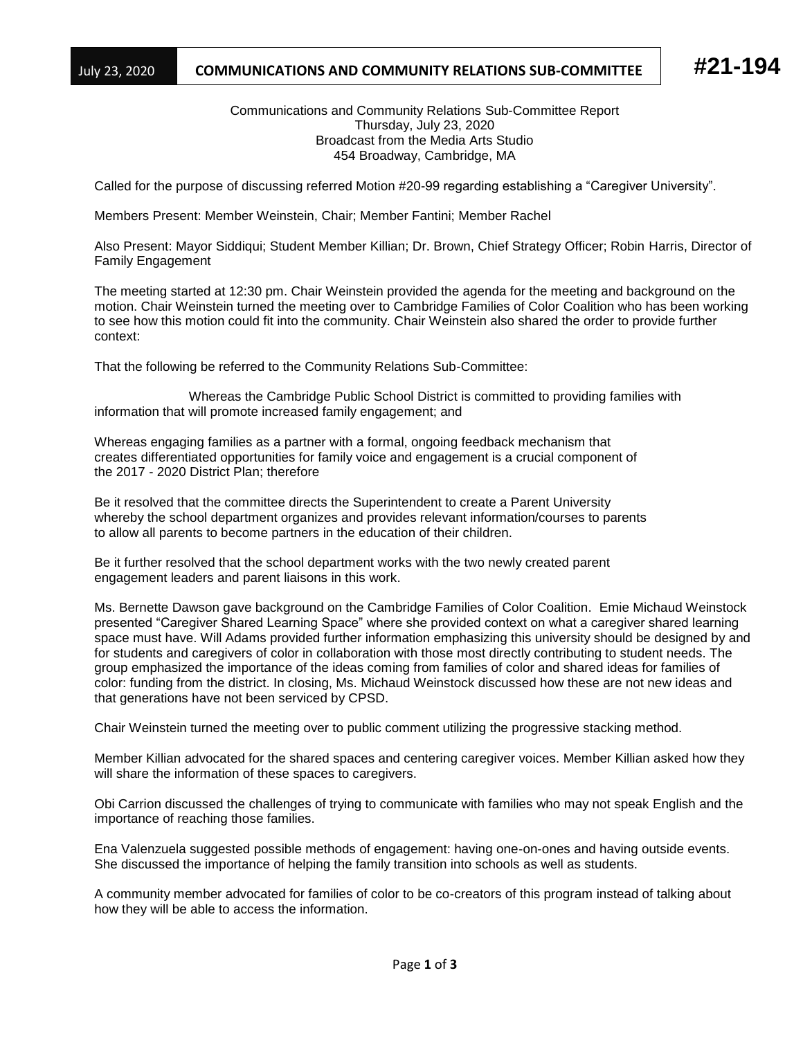## July 23, 2020 **COMMUNICATIONS AND COMMUNITY RELATIONS SUB-COMMITTEE #21-194**

Communications and Community Relations Sub-Committee Report Thursday, July 23, 2020 Broadcast from the Media Arts Studio 454 Broadway, Cambridge, MA

Called for the purpose of discussing referred Motion #20-99 regarding establishing a "Caregiver University".

Members Present: Member Weinstein, Chair; Member Fantini; Member Rachel

Also Present: Mayor Siddiqui; Student Member Killian; Dr. Brown, Chief Strategy Officer; Robin Harris, Director of Family Engagement

The meeting started at 12:30 pm. Chair Weinstein provided the agenda for the meeting and background on the motion. Chair Weinstein turned the meeting over to Cambridge Families of Color Coalition who has been working to see how this motion could fit into the community. Chair Weinstein also shared the order to provide further context:

That the following be referred to the Community Relations Sub-Committee:

 Whereas the Cambridge Public School District is committed to providing families with information that will promote increased family engagement; and

Whereas engaging families as a partner with a formal, ongoing feedback mechanism that creates differentiated opportunities for family voice and engagement is a crucial component of the 2017 - 2020 District Plan; therefore

Be it resolved that the committee directs the Superintendent to create a Parent University whereby the school department organizes and provides relevant information/courses to parents to allow all parents to become partners in the education of their children.

Be it further resolved that the school department works with the two newly created parent engagement leaders and parent liaisons in this work.

Ms. Bernette Dawson gave background on the Cambridge Families of Color Coalition. Emie Michaud Weinstock presented "Caregiver Shared Learning Space" where she provided context on what a caregiver shared learning space must have. Will Adams provided further information emphasizing this university should be designed by and for students and caregivers of color in collaboration with those most directly contributing to student needs. The group emphasized the importance of the ideas coming from families of color and shared ideas for families of color: funding from the district. In closing, Ms. Michaud Weinstock discussed how these are not new ideas and that generations have not been serviced by CPSD.

Chair Weinstein turned the meeting over to public comment utilizing the progressive stacking method.

Member Killian advocated for the shared spaces and centering caregiver voices. Member Killian asked how they will share the information of these spaces to caregivers.

Obi Carrion discussed the challenges of trying to communicate with families who may not speak English and the importance of reaching those families.

Ena Valenzuela suggested possible methods of engagement: having one-on-ones and having outside events. She discussed the importance of helping the family transition into schools as well as students.

A community member advocated for families of color to be co-creators of this program instead of talking about how they will be able to access the information.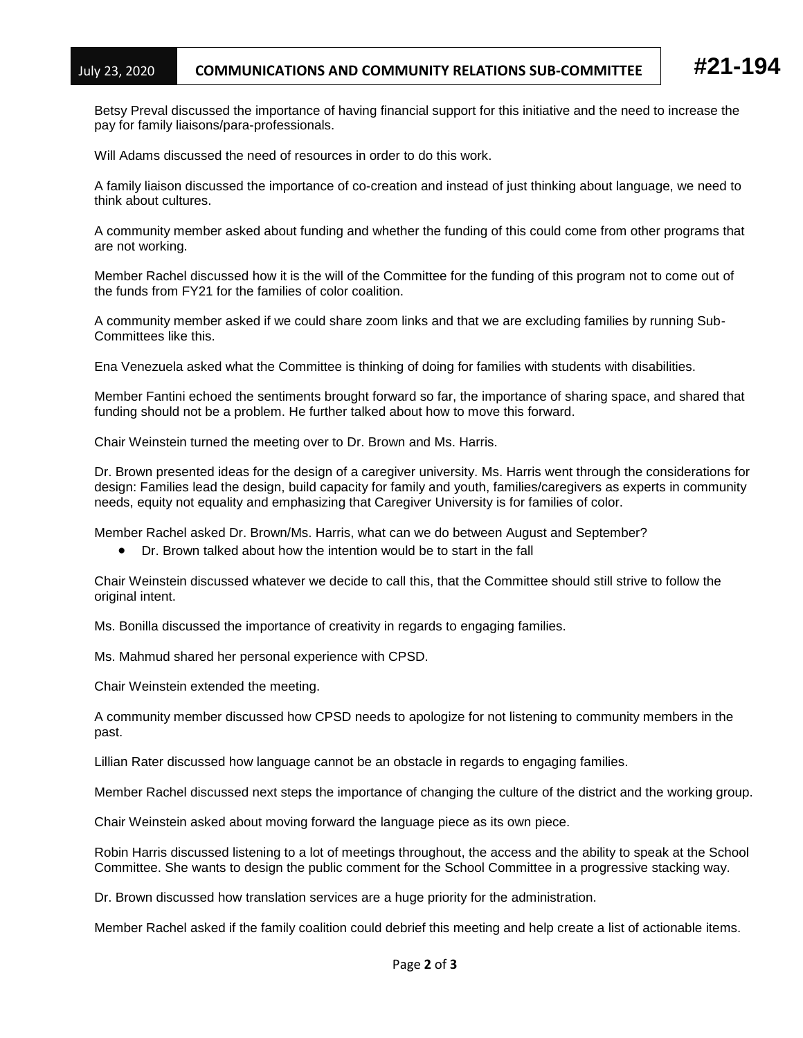Betsy Preval discussed the importance of having financial support for this initiative and the need to increase the pay for family liaisons/para-professionals.

Will Adams discussed the need of resources in order to do this work.

A family liaison discussed the importance of co-creation and instead of just thinking about language, we need to think about cultures.

A community member asked about funding and whether the funding of this could come from other programs that are not working.

Member Rachel discussed how it is the will of the Committee for the funding of this program not to come out of the funds from FY21 for the families of color coalition.

A community member asked if we could share zoom links and that we are excluding families by running Sub-Committees like this.

Ena Venezuela asked what the Committee is thinking of doing for families with students with disabilities.

Member Fantini echoed the sentiments brought forward so far, the importance of sharing space, and shared that funding should not be a problem. He further talked about how to move this forward.

Chair Weinstein turned the meeting over to Dr. Brown and Ms. Harris.

Dr. Brown presented ideas for the design of a caregiver university. Ms. Harris went through the considerations for design: Families lead the design, build capacity for family and youth, families/caregivers as experts in community needs, equity not equality and emphasizing that Caregiver University is for families of color.

Member Rachel asked Dr. Brown/Ms. Harris, what can we do between August and September?

• Dr. Brown talked about how the intention would be to start in the fall

Chair Weinstein discussed whatever we decide to call this, that the Committee should still strive to follow the original intent.

Ms. Bonilla discussed the importance of creativity in regards to engaging families.

Ms. Mahmud shared her personal experience with CPSD.

Chair Weinstein extended the meeting.

A community member discussed how CPSD needs to apologize for not listening to community members in the past.

Lillian Rater discussed how language cannot be an obstacle in regards to engaging families.

Member Rachel discussed next steps the importance of changing the culture of the district and the working group.

Chair Weinstein asked about moving forward the language piece as its own piece.

Robin Harris discussed listening to a lot of meetings throughout, the access and the ability to speak at the School Committee. She wants to design the public comment for the School Committee in a progressive stacking way.

Dr. Brown discussed how translation services are a huge priority for the administration.

Member Rachel asked if the family coalition could debrief this meeting and help create a list of actionable items.